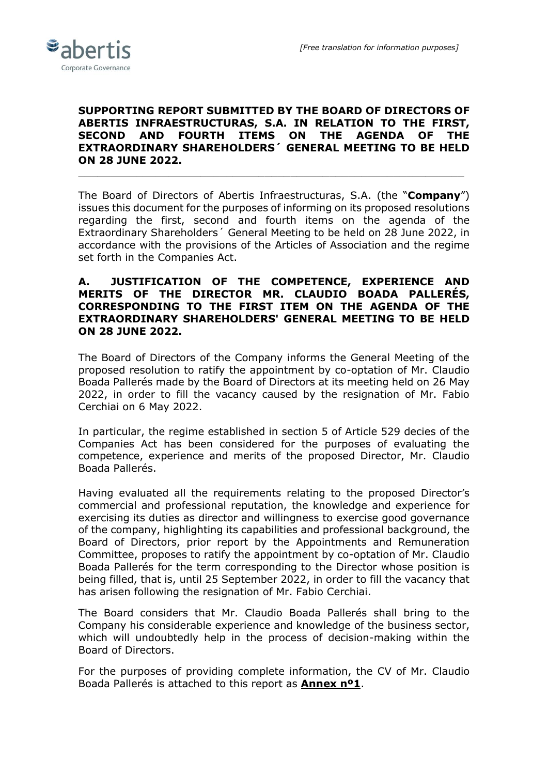

## **SUPPORTING REPORT SUBMITTED BY THE BOARD OF DIRECTORS OF ABERTIS INFRAESTRUCTURAS, S.A. IN RELATION TO THE FIRST, SECOND AND FOURTH ITEMS ON THE AGENDA OF THE EXTRAORDINARY SHAREHOLDERS´ GENERAL MEETING TO BE HELD ON 28 JUNE 2022.**

\_\_\_\_\_\_\_\_\_\_\_\_\_\_\_\_\_\_\_\_\_\_\_\_\_\_\_\_\_\_\_\_\_\_\_\_\_\_\_\_\_\_\_\_\_\_\_\_\_\_\_\_\_\_\_\_\_\_\_\_

The Board of Directors of Abertis Infraestructuras, S.A. (the "**Company**") issues this document for the purposes of informing on its proposed resolutions regarding the first, second and fourth items on the agenda of the Extraordinary Shareholders´ General Meeting to be held on 28 June 2022, in accordance with the provisions of the Articles of Association and the regime set forth in the Companies Act.

#### **A. JUSTIFICATION OF THE COMPETENCE, EXPERIENCE AND MERITS OF THE DIRECTOR MR. CLAUDIO BOADA PALLERÉS, CORRESPONDING TO THE FIRST ITEM ON THE AGENDA OF THE EXTRAORDINARY SHAREHOLDERS' GENERAL MEETING TO BE HELD ON 28 JUNE 2022.**

The Board of Directors of the Company informs the General Meeting of the proposed resolution to ratify the appointment by co-optation of Mr. Claudio Boada Pallerés made by the Board of Directors at its meeting held on 26 May 2022, in order to fill the vacancy caused by the resignation of Mr. Fabio Cerchiai on 6 May 2022.

In particular, the regime established in section 5 of Article 529 decies of the Companies Act has been considered for the purposes of evaluating the competence, experience and merits of the proposed Director, Mr. Claudio Boada Pallerés.

Having evaluated all the requirements relating to the proposed Director's commercial and professional reputation, the knowledge and experience for exercising its duties as director and willingness to exercise good governance of the company, highlighting its capabilities and professional background, the Board of Directors, prior report by the Appointments and Remuneration Committee, proposes to ratify the appointment by co-optation of Mr. Claudio Boada Pallerés for the term corresponding to the Director whose position is being filled, that is, until 25 September 2022, in order to fill the vacancy that has arisen following the resignation of Mr. Fabio Cerchiai.

The Board considers that Mr. Claudio Boada Pallerés shall bring to the Company his considerable experience and knowledge of the business sector, which will undoubtedly help in the process of decision-making within the Board of Directors.

For the purposes of providing complete information, the CV of Mr. Claudio Boada Pallerés is attached to this report as **Annex nº1**.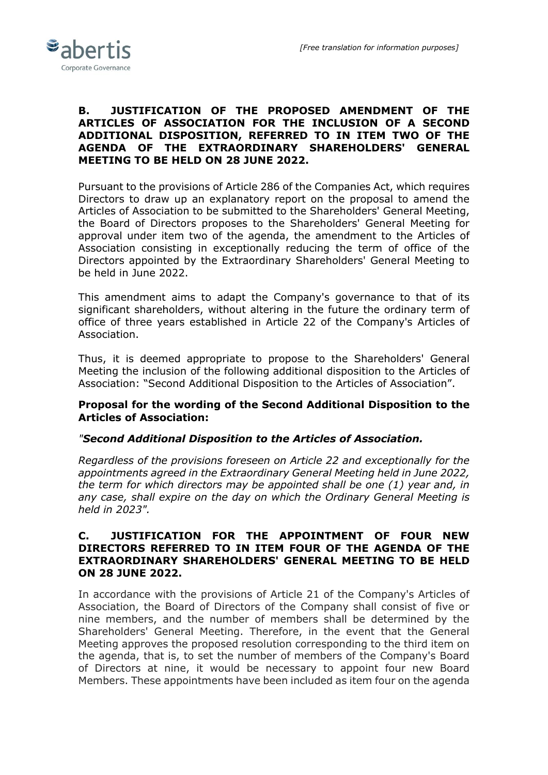

## **B. JUSTIFICATION OF THE PROPOSED AMENDMENT OF THE ARTICLES OF ASSOCIATION FOR THE INCLUSION OF A SECOND ADDITIONAL DISPOSITION, REFERRED TO IN ITEM TWO OF THE AGENDA OF THE EXTRAORDINARY SHAREHOLDERS' GENERAL MEETING TO BE HELD ON 28 JUNE 2022.**

Pursuant to the provisions of Article 286 of the Companies Act, which requires Directors to draw up an explanatory report on the proposal to amend the Articles of Association to be submitted to the Shareholders' General Meeting, the Board of Directors proposes to the Shareholders' General Meeting for approval under item two of the agenda, the amendment to the Articles of Association consisting in exceptionally reducing the term of office of the Directors appointed by the Extraordinary Shareholders' General Meeting to be held in June 2022.

This amendment aims to adapt the Company's governance to that of its significant shareholders, without altering in the future the ordinary term of office of three years established in Article 22 of the Company's Articles of Association.

Thus, it is deemed appropriate to propose to the Shareholders' General Meeting the inclusion of the following additional disposition to the Articles of Association: "Second Additional Disposition to the Articles of Association".

# **Proposal for the wording of the Second Additional Disposition to the Articles of Association:**

# *"Second Additional Disposition to the Articles of Association.*

*Regardless of the provisions foreseen on Article 22 and exceptionally for the appointments agreed in the Extraordinary General Meeting held in June 2022, the term for which directors may be appointed shall be one (1) year and, in any case, shall expire on the day on which the Ordinary General Meeting is held in 2023".*

## **C. JUSTIFICATION FOR THE APPOINTMENT OF FOUR NEW DIRECTORS REFERRED TO IN ITEM FOUR OF THE AGENDA OF THE EXTRAORDINARY SHAREHOLDERS' GENERAL MEETING TO BE HELD ON 28 JUNE 2022.**

In accordance with the provisions of Article 21 of the Company's Articles of Association, the Board of Directors of the Company shall consist of five or nine members, and the number of members shall be determined by the Shareholders' General Meeting. Therefore, in the event that the General Meeting approves the proposed resolution corresponding to the third item on the agenda, that is, to set the number of members of the Company's Board of Directors at nine, it would be necessary to appoint four new Board Members. These appointments have been included as item four on the agenda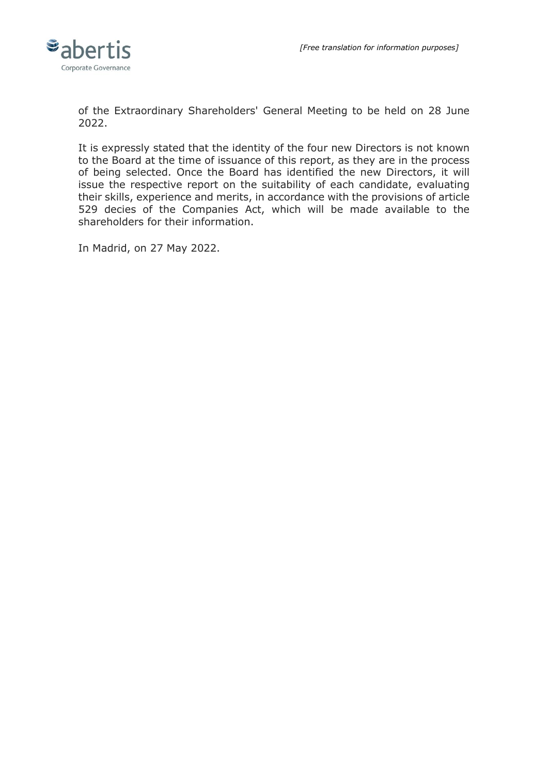

of the Extraordinary Shareholders' General Meeting to be held on 28 June 2022.

It is expressly stated that the identity of the four new Directors is not known to the Board at the time of issuance of this report, as they are in the process of being selected. Once the Board has identified the new Directors, it will issue the respective report on the suitability of each candidate, evaluating their skills, experience and merits, in accordance with the provisions of article 529 decies of the Companies Act, which will be made available to the shareholders for their information.

In Madrid, on 27 May 2022.